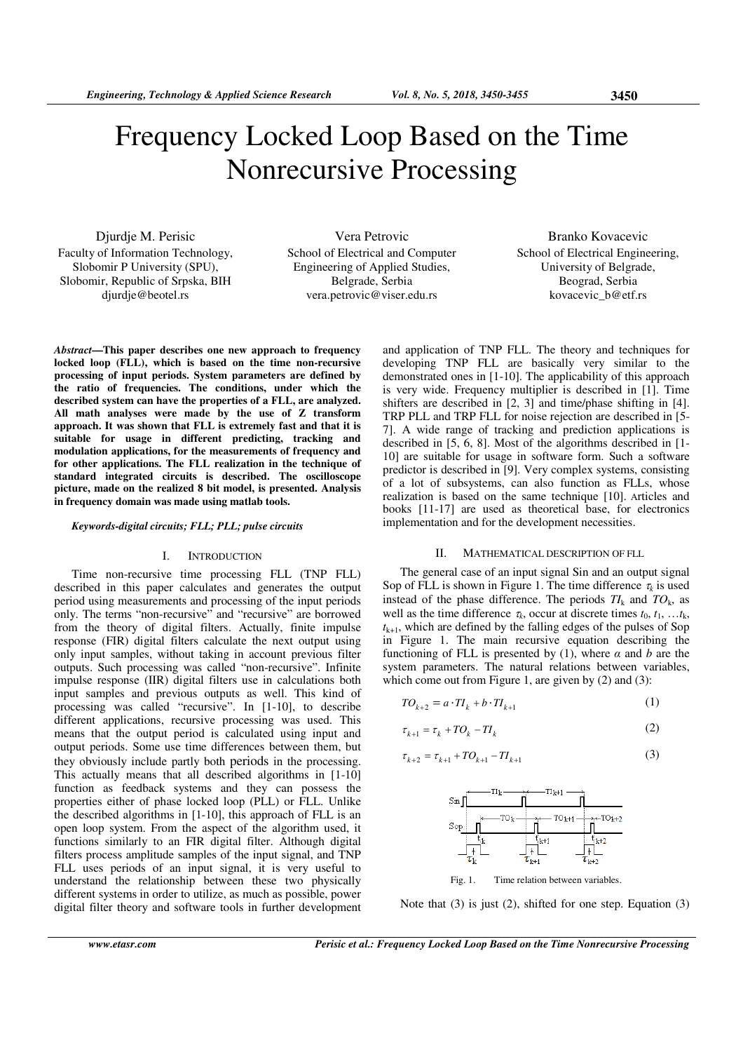Djurdje M. Perisic Faculty of Information Technology, Slobomir P University (SPU), Slobomir, Republic of Srpska, BIH djurdje@beotel.rs

Vera Petrovic School of Electrical and Computer Engineering of Applied Studies, Belgrade, Serbia vera.petrovic@viser.edu.rs

Branko Kovacevic School of Electrical Engineering, University of Belgrade, Beograd, Serbia kovacevic b@etf.rs

*Abstract***—This paper describes one new approach to frequency locked loop (FLL), which is based on the time non-recursive processing of input periods. System parameters are defined by the ratio of frequencies. The conditions, under which the described system can have the properties of a FLL, are analyzed. All math analyses were made by the use of Z transform approach. It was shown that FLL is extremely fast and that it is suitable for usage in different predicting, tracking and modulation applications, for the measurements of frequency and for other applications. The FLL realization in the technique of standard integrated circuits is described. The oscilloscope picture, made on the realized 8 bit model, is presented. Analysis in frequency domain was made using matlab tools.** 

*Keywords-digital circuits; FLL; PLL; pulse circuits*

## I. INTRODUCTION

Time non-recursive time processing FLL (TNP FLL) described in this paper calculates and generates the output period using measurements and processing of the input periods only. The terms "non-recursive" and "recursive" are borrowed from the theory of digital filters. Actually, finite impulse response (FIR) digital filters calculate the next output using only input samples, without taking in account previous filter outputs. Such processing was called "non-recursive". Infinite impulse response (IIR) digital filters use in calculations both input samples and previous outputs as well. This kind of processing was called "recursive". In [1-10], to describe different applications, recursive processing was used. This means that the output period is calculated using input and output periods. Some use time differences between them, but they obviously include partly both periods in the processing. This actually means that all described algorithms in [1-10] function as feedback systems and they can possess the properties either of phase locked loop (PLL) or FLL. Unlike the described algorithms in [1-10], this approach of FLL is an open loop system. From the aspect of the algorithm used, it functions similarly to an FIR digital filter. Although digital filters process amplitude samples of the input signal, and TNP FLL uses periods of an input signal, it is very useful to understand the relationship between these two physically different systems in order to utilize, as much as possible, power digital filter theory and software tools in further development and application of TNP FLL. The theory and techniques for developing TNP FLL are basically very similar to the demonstrated ones in [1-10]. The applicability of this approach is very wide. Frequency multiplier is described in [1]. Time shifters are described in [2, 3] and time/phase shifting in [4]. TRP PLL and TRP FLL for noise rejection are described in [5- 7]. A wide range of tracking and prediction applications is described in [5, 6, 8]. Most of the algorithms described in [1- 10] are suitable for usage in software form. Such a software predictor is described in [9]. Very complex systems, consisting of a lot of subsystems, can also function as FLLs, whose realization is based on the same technique [10]. Articles and books [11-17] are used as theoretical base, for electronics implementation and for the development necessities.

# II. MATHEMATICAL DESCRIPTION OF FLL

The general case of an input signal Sin and an output signal Sop of FLL is shown in Figure 1. The time difference  $\tau_k$  is used instead of the phase difference. The periods  $TI_k$  and  $TO_k$ , as well as the time difference  $\tau_k$ , occur at discrete times  $t_0, t_1, \ldots, t_k$ ,  $t_{k+1}$ , which are defined by the falling edges of the pulses of Sop in Figure 1. The main recursive equation describing the functioning of FLL is presented by (1), where  $\alpha$  and  $b$  are the system parameters. The natural relations between variables, which come out from Figure 1, are given by  $(2)$  and  $(3)$ :

$$
TO_{k+2} = a \cdot TI_k + b \cdot TI_{k+1} \tag{1}
$$

$$
\tau_{k+1} = \tau_k + T O_k - T I_k \tag{2}
$$

$$
\tau_{k+2} = \tau_{k+1} + T O_{k+1} - T I_{k+1} \tag{3}
$$



Fig. 1. Time relation between variables.

Note that (3) is just (2), shifted for one step. Equation (3)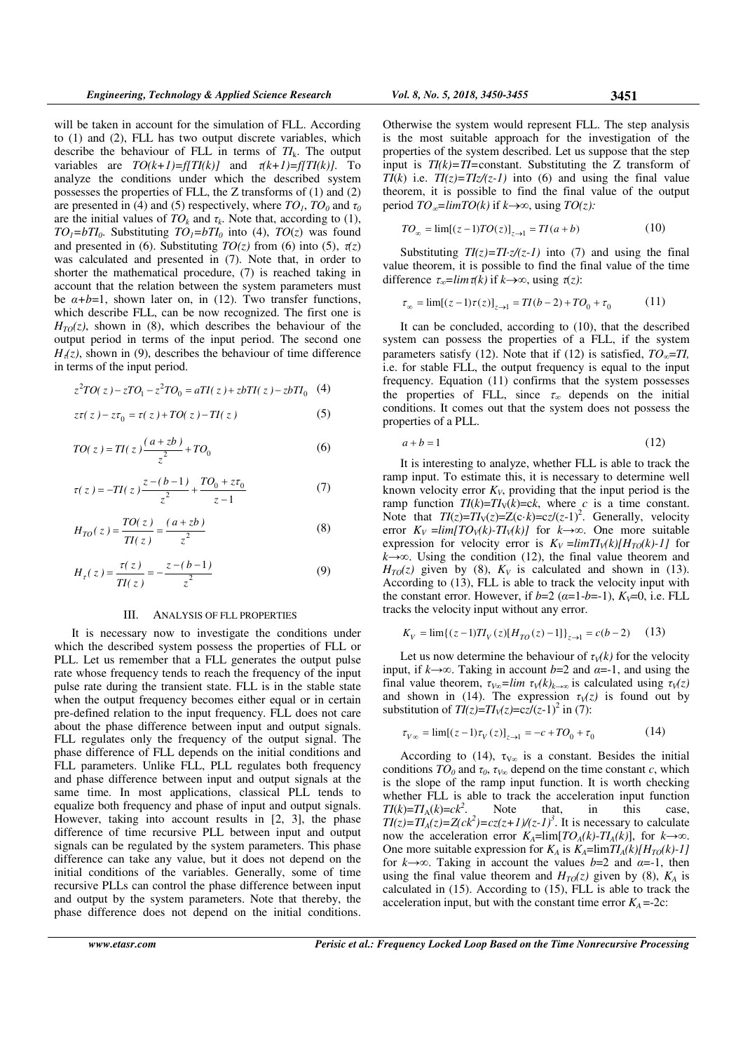will be taken in account for the simulation of FLL. According to (1) and (2), FLL has two output discrete variables, which describe the behaviour of FLL in terms of *TI*k. The output variables are  $TO(k+1)=f[TI(k)]$  and  $\tau(k+1)=f[TI(k)]$ . To analyze the conditions under which the described system possesses the properties of FLL, the Z transforms of (1) and (2) are presented in (4) and (5) respectively, where  $TO<sub>I</sub>$ ,  $TO<sub>0</sub>$  and  $\tau<sub>0</sub>$ are the initial values of  $TO_k$  and  $\tau_k$ . Note that, according to (1), *TO*<sub>1</sub>=bTI<sub>0</sub>. Substituting  $TO_1 = bTI_0$  into (4),  $TO(z)$  was found and presented in (6). Substituting  $TO(z)$  from (6) into (5),  $\tau(z)$ was calculated and presented in (7). Note that, in order to shorter the mathematical procedure, (7) is reached taking in account that the relation between the system parameters must be  $\alpha + b = 1$ , shown later on, in (12). Two transfer functions, which describe FLL, can be now recognized. The first one is  $H_{T0}(z)$ , shown in (8), which describes the behaviour of the output period in terms of the input period. The second one  $H_1(z)$ , shown in (9), describes the behaviour of time difference in terms of the input period.

$$
z^{2}T O(z) - zT O_{1} - z^{2}T O_{0} = aT I(z) + zbT I(z) - zbT I_{0} \quad (4)
$$

$$
z\tau(z) - z\tau_0 = \tau(z) + T O(z) - T I(z)
$$
 (5)

$$
TO(z) = TI(z)\frac{(a+zb)}{z^2} + TO_0
$$
 (6)

$$
\tau(z) = -TI(z)\frac{z - (b-1)}{z^2} + \frac{TO_0 + z\tau_0}{z - 1} \tag{7}
$$

$$
H_{TO}(z) = \frac{TO(z)}{TI(z)} = \frac{(a + zb)}{z^2}
$$
 (8)

$$
H_{\tau}(z) = \frac{\tau(z)}{T I(z)} = -\frac{z - (b - 1)}{z^2}
$$
 (9)

#### III. ANALYSΙS OF FLL PROPERTIES

It is necessary now to investigate the conditions under which the described system possess the properties of FLL or PLL. Let us remember that a FLL generates the output pulse rate whose frequency tends to reach the frequency of the input pulse rate during the transient state. FLL is in the stable state when the output frequency becomes either equal or in certain pre-defined relation to the input frequency. FLL does not care about the phase difference between input and output signals. FLL regulates only the frequency of the output signal. The phase difference of FLL depends on the initial conditions and FLL parameters. Unlike FLL, PLL regulates both frequency and phase difference between input and output signals at the same time. In most applications, classical PLL tends to equalize both frequency and phase of input and output signals. However, taking into account results in [2, 3], the phase difference of time recursive PLL between input and output signals can be regulated by the system parameters. This phase difference can take any value, but it does not depend on the initial conditions of the variables. Generally, some of time recursive PLLs can control the phase difference between input and output by the system parameters. Note that thereby, the phase difference does not depend on the initial conditions.

Otherwise the system would represent FLL. The step analysis is the most suitable approach for the investigation of the properties of the system described. Let us suppose that the step input is  $TI(k)=TI=$ constant. Substituting the Z transform of *TI*( $k$ ) i.e. *TI*( $z$ )=*TIz*/( $z$ -*I*) into (6) and using the final value theorem, it is possible to find the final value of the output period  $TO_{\infty}$ =limTO(k) if k→∞, using  $TO(z)$ :

$$
TO_{\infty} = \lim[(z-1)TO(z)]_{z \to 1} = TI(a+b)
$$
 (10)

Substituting  $TI(z)=TI\cdot z/(z-1)$  into (7) and using the final value theorem, it is possible to find the final value of the time difference  $\tau_{\infty}$ =*lim* $\tau(k)$  if  $k \rightarrow \infty$ , using  $\tau(z)$ :

$$
\tau_{\infty} = \lim[(z - 1)\tau(z)]_{z \to 1} = TI(b - 2) + TO_0 + \tau_0 \tag{11}
$$

It can be concluded, according to (10), that the described system can possess the properties of a FLL, if the system parameters satisfy (12). Note that if (12) is satisfied,  $TO_{\infty} = TI$ , i.e. for stable FLL, the output frequency is equal to the input frequency. Equation (11) confirms that the system possesses the properties of FLL, since  $\tau_{\infty}$  depends on the initial conditions. It comes out that the system does not possess the properties of a PLL.

$$
a+b=1\tag{12}
$$

It is interesting to analyze, whether FLL is able to track the ramp input. To estimate this, it is necessary to determine well known velocity error  $K_V$ , providing that the input period is the ramp function  $TI(k)=TI<sub>V</sub>(k)=ck$ , where *c* is a time constant. Note that  $TI(z)=TI_V(z)=Z(c\cdot k)=cz/(z-1)^2$ . Generally, velocity error  $K_V = \lim [TO_V(k) - TI_V(k)]$  for  $k \rightarrow \infty$ . One more suitable expression for velocity error is  $K_V = \lim T I_V(k) / H_{T0}(k) - 1$  for *k*→∞. Using the condition (12), the final value theorem and  $H_{T0}(z)$  given by (8),  $K_V$  is calculated and shown in (13). According to (13), FLL is able to track the velocity input with the constant error. However, if  $b=2$  ( $\alpha=1-b=-1$ ),  $K_V=0$ , i.e. FLL tracks the velocity input without any error.

$$
K_V = \lim \{ (z - 1) T I_V(z) [H_{TO}(z) - 1] \}_{z \to 1} = c(b - 2) \tag{13}
$$

Let us now determine the behaviour of  $\tau$ <sup>*V*</sup> $(k)$  for the velocity input, if  $k \rightarrow \infty$ . Taking in account *b*=2 and  $\alpha$ =-1, and using the final value theorem,  $\tau_{V\omega} = \lim \tau_V(k)_{k\to\infty}$  is calculated using  $\tau_V(z)$ and shown in (14). The expression  $\tau_V(z)$  is found out by substitution of  $TI(z)=TI_V(z)=cz/(z-1)^2$  in (7):

$$
\tau_{V\infty} = \lim[(z - 1)\tau_V(z)]_{z \to 1} = -c + TO_0 + \tau_0 \tag{14}
$$

According to (14),  $\tau_{V\infty}$  is a constant. Besides the initial conditions  $TO_0$  and  $\tau_0$ ,  $\tau_{V\infty}$  depend on the time constant *c*, which is the slope of the ramp input function. It is worth checking whether FLL is able to track the acceleration input function *TI*(*k*)=*TI*<sub>A</sub>(*k*)=*ck*<sup>2</sup>. Note that, in this case,  $TI(z) = TI_A(z) = Z(ck^2) = cz(z+1)/(z-1)^3$ . It is necessary to calculate now the acceleration error  $K_A = \lim [TO_A(k) - TI_A(k)]$ , for  $k \rightarrow \infty$ . One more suitable expression for  $K_A$  is  $K_A = \lim_{A \to \infty} \frac{I}{I_A(k)}[H_{TO}(k) - 1]$ for  $k \rightarrow \infty$ . Taking in account the values *b*=2 and *α*=-1, then using the final value theorem and  $H_{T0}(z)$  given by (8),  $K_A$  is calculated in (15). According to (15), FLL is able to track the acceleration input, but with the constant time error  $K_A = -2c$ :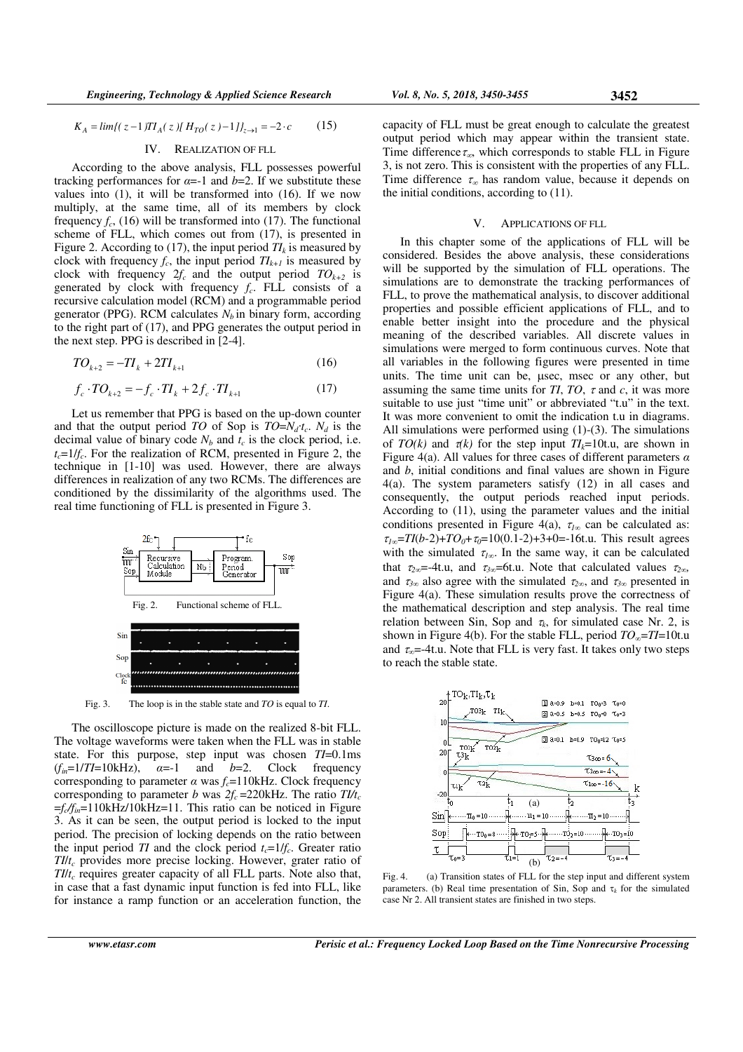$$
K_A = \lim \{ (z - 1) T I_A(z) \} H_{TO}(z) - 1 J I_{z \to 1} = -2 \cdot c \tag{15}
$$

# IV. REALIZATION OF FLL

According to the above analysis, FLL possesses powerful tracking performances for  $\alpha = -1$  and  $b = 2$ . If we substitute these values into (1), it will be transformed into (16). If we now multiply, at the same time, all of its members by clock frequency  $f_c$ , (16) will be transformed into (17). The functional scheme of FLL, which comes out from (17), is presented in Figure 2. According to (17), the input period  $TI_k$  is measured by clock with frequency  $f_c$ , the input period  $T I_{k+1}$  is measured by clock with frequency  $2f_c$  and the output period  $TO_{k+2}$  is generated by clock with frequency  $f_c$ . FLL consists of a recursive calculation model (RCM) and a programmable period generator (PPG). RCM calculates  $N_b$  in binary form, according to the right part of (17), and PPG generates the output period in the next step. PPG is described in [2-4].

$$
TO_{k+2} = -TI_k + 2TI_{k+1}
$$
 (16)

$$
f_c \cdot T O_{k+2} = -f_c \cdot T I_k + 2f_c \cdot T I_{k+1} \tag{17}
$$

Let us remember that PPG is based on the up-down counter and that the output period *TO* of Sop is  $TO = N_d \cdot t_c$ .  $N_d$  is the decimal value of binary code  $N_b$  and  $t_c$  is the clock period, i.e.  $t_c = 1/f_c$ . For the realization of RCM, presented in Figure 2, the technique in [1-10] was used. However, there are always differences in realization of any two RCMs. The differences are conditioned by the dissimilarity of the algorithms used. The real time functioning of FLL is presented in Figure 3.



Fig. 3. The loop is in the stable state and *TO* is equal to *TI*.

The oscilloscope picture is made on the realized 8-bit FLL. The voltage waveforms were taken when the FLL was in stable state. For this purpose, step input was chosen *TI*=0.1ms  $(f_{in}=1/TI=10kHz)$ ,  $\alpha=-1$  and  $b=2$ . Clock frequency corresponding to parameter  $\alpha$  was  $f_c = 110$ kHz. Clock frequency corresponding to parameter *b* was  $2f_c = 220$ kHz. The ratio  $T l / t_c$ =*f<sup>c</sup> /fin*=110kHz/10kHz=11. This ratio can be noticed in Figure 3. As it can be seen, the output period is locked to the input period. The precision of locking depends on the ratio between the input period *TI* and the clock period  $t_c = 1/f_c$ . Greater ratio *TI*/*t<sup>c</sup>* provides more precise locking. However, grater ratio of *TI*/*t<sup>c</sup>* requires greater capacity of all FLL parts. Note also that, in case that a fast dynamic input function is fed into FLL, like for instance a ramp function or an acceleration function, the

capacity of FLL must be great enough to calculate the greatest output period which may appear within the transient state. Time difference  $\tau_{\infty}$ , which corresponds to stable FLL in Figure 3, is not zero. This is consistent with the properties of any FLL. Time difference  $\tau_{\infty}$  has random value, because it depends on the initial conditions, according to (11).

## V. APPLICATIONS OF FLL

In this chapter some of the applications of FLL will be considered. Besides the above analysis, these considerations will be supported by the simulation of FLL operations. The simulations are to demonstrate the tracking performances of FLL, to prove the mathematical analysis, to discover additional properties and possible efficient applications of FLL, and to enable better insight into the procedure and the physical meaning of the described variables. All discrete values in simulations were merged to form continuous curves. Note that all variables in the following figures were presented in time units. The time unit can be, µsec, msec or any other, but assuming the same time units for *TI*, *TO*,  $\tau$  and  $c$ , it was more suitable to use just "time unit" or abbreviated "t.u" in the text. It was more convenient to omit the indication t.u in diagrams. All simulations were performed using (1)-(3). The simulations of  $TO(k)$  and  $\tau(k)$  for the step input  $TI_k=10$ t.u, are shown in Figure 4(a). All values for three cases of different parameters *α* and *b*, initial conditions and final values are shown in Figure 4(a). The system parameters satisfy (12) in all cases and consequently, the output periods reached input periods. According to (11), using the parameter values and the initial conditions presented in Figure 4(a),  $\tau_{1\infty}$  can be calculated as:  $\tau_{1\infty}$ =TI(b-2)+TO<sub>0</sub>+ $\tau_0$ =10(0.1-2)+3+0=-16t.u. This result agrees with the simulated  $\tau_{1\infty}$ . In the same way, it can be calculated that  $\tau_{2\infty}$ =-4t.u, and  $\tau_{3\infty}$ =6t.u. Note that calculated values  $\tau_{2\infty}$ and  $\tau_{3\infty}$  also agree with the simulated  $\tau_{2\infty}$ , and  $\tau_{3\infty}$  presented in Figure 4(a). These simulation results prove the correctness of the mathematical description and step analysis. The real time relation between Sin, Sop and  $\tau_k$ , for simulated case Nr. 2, is shown in Figure 4(b). For the stable FLL, period *TO∞*=*TI*=10t.u and  $\tau_{\infty}$ =-4t.u. Note that FLL is very fast. It takes only two steps to reach the stable state.



Fig. 4. (a) Transition states of FLL for the step input and different system parameters. (b) Real time presentation of Sin, Sop and  $\tau_k$  for the simulated case Nr 2. All transient states are finished in two steps.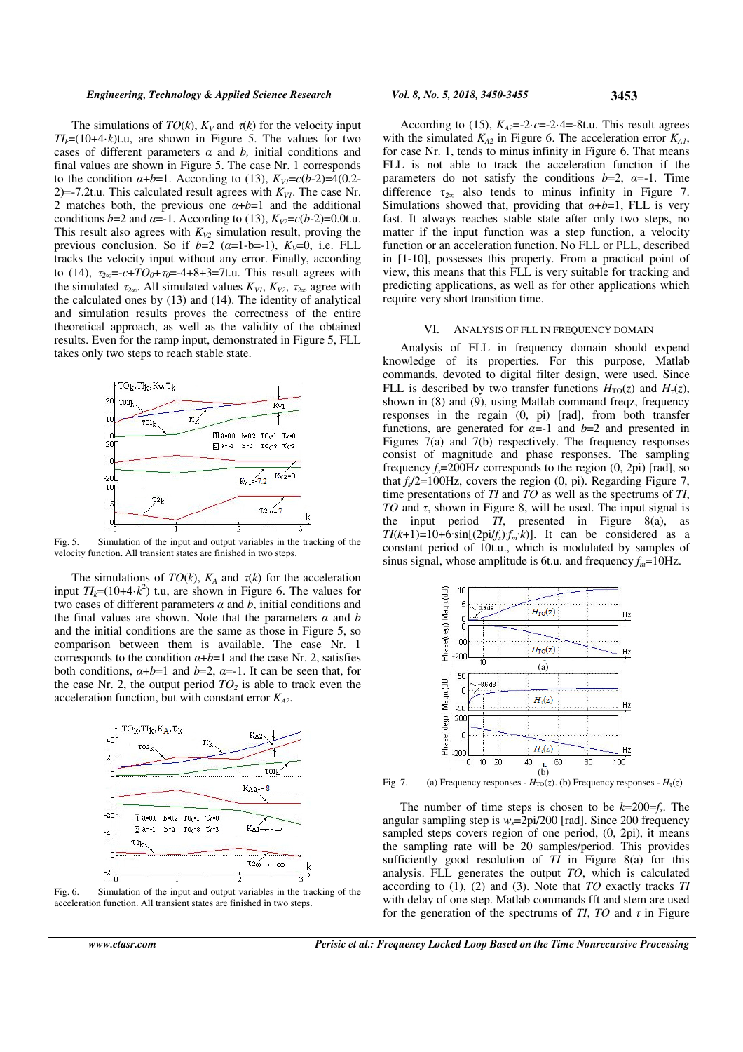The simulations of  $TO(k)$ ,  $K_V$  and  $\tau(k)$  for the velocity input  $TI_k=(10+4\cdot k)t.u$ , are shown in Figure 5. The values for two cases of different parameters *α* and *b,* initial conditions and final values are shown in Figure 5. The case Nr. 1 corresponds to the condition  $\alpha+b=1$ . According to (13),  $K_{VI} = c(b-2)=4(0.2-$ 2)=-7.2t.u. This calculated result agrees with  $K_{VI}$ . The case Nr. 2 matches both, the previous one  $\alpha+b=1$  and the additional conditions *b*=2 and *α*=-1. According to (13),  $K_{V2}$ =*c*(*b*-2)=0.0t.u. This result also agrees with  $K_{V2}$  simulation result, proving the previous conclusion. So if  $b=2$  ( $\alpha=1-b=-1$ ),  $K_V=0$ , i.e. FLL tracks the velocity input without any error. Finally, according to (14),  $\tau_{2\infty} = -c + TO_0 + \tau_0 = -4 + 8 + 3 = 7t.u$ . This result agrees with the simulated  $\tau_{2\infty}$ . All simulated values  $K_{VI}$ ,  $K_{V2}$ ,  $\tau_{2\infty}$  agree with the calculated ones by (13) and (14). The identity of analytical and simulation results proves the correctness of the entire theoretical approach, as well as the validity of the obtained results. Even for the ramp input, demonstrated in Figure 5, FLL takes only two steps to reach stable state.



Fig. 5. Simulation of the input and output variables in the tracking of the velocity function. All transient states are finished in two steps.

The simulations of  $TO(k)$ ,  $K_A$  and  $\tau(k)$  for the acceleration input  $TI_k=(10+4\cdot k^2)$  t.u, are shown in Figure 6. The values for two cases of different parameters *α* and *b*, initial conditions and the final values are shown. Note that the parameters  $\alpha$  and  $\beta$ and the initial conditions are the same as those in Figure 5, so comparison between them is available. The case Nr. 1 corresponds to the condition  $\alpha + b = 1$  and the case Nr. 2, satisfies both conditions,  $\alpha+b=1$  and  $b=2$ ,  $\alpha=-1$ . It can be seen that, for the case Nr. 2, the output period  $TO<sub>2</sub>$  is able to track even the acceleration function, but with constant error *KA2*.



Fig. 6. Simulation of the input and output variables in the tracking of the acceleration function. All transient states are finished in two steps.

According to (15),  $K_{A2}=-2 \cdot c=-2 \cdot 4=-8t.u$ . This result agrees with the simulated  $K_{A2}$  in Figure 6. The acceleration error  $K_{A1}$ , for case Nr. 1, tends to minus infinity in Figure 6. That means FLL is not able to track the acceleration function if the parameters do not satisfy the conditions  $b=2$ ,  $\alpha=-1$ . Time difference  $\tau_{2\infty}$  also tends to minus infinity in Figure 7. Simulations showed that, providing that *α*+*b*=1, FLL is very fast. It always reaches stable state after only two steps, no matter if the input function was a step function, a velocity function or an acceleration function. No FLL or PLL, described in [1-10], possesses this property. From a practical point of view, this means that this FLL is very suitable for tracking and predicting applications, as well as for other applications which require very short transition time.

#### VI. ANALYSIS OF FLL IN FREQUENCY DOMAIN

Analysis of FLL in frequency domain should expend knowledge of its properties. For this purpose, Matlab commands, devoted to digital filter design, were used. Since FLL is described by two transfer functions  $H_{\text{TO}}(z)$  and  $H_{\tau}(z)$ , shown in (8) and (9), using Matlab command freqz, frequency responses in the regain (0, pi) [rad], from both transfer functions, are generated for  $\alpha = -1$  and  $b = 2$  and presented in Figures 7(a) and 7(b) respectively. The frequency responses consist of magnitude and phase responses. The sampling frequency  $f_s = 200$ Hz corresponds to the region  $(0, 2pi)$  [rad], so that  $f_s/2 = 100$ Hz, covers the region  $(0, pi)$ . Regarding Figure 7, time presentations of *TI* and *TO* as well as the spectrums of *TI*, *TO* and *τ*, shown in Figure 8, will be used. The input signal is the input period *TI*, presented in Figure 8(a), as  $TI(k+1)=10+6\cdot\sin[(2pi/f_s)f_m \cdot k]$ . It can be considered as a constant period of 10t.u., which is modulated by samples of sinus signal, whose amplitude is 6t.u. and frequency  $f_m$ =10Hz.



Fig. 7. (a) Frequency responses -  $H_{\text{TO}}(z)$ . (b) Frequency responses -  $H_{\tau}(z)$ 

The number of time steps is chosen to be  $k=200=f_s$ . The angular sampling step is *ws*=2pi/200 [rad]. Since 200 frequency sampled steps covers region of one period,  $(0, 2pi)$ , it means the sampling rate will be 20 samples/period. This provides sufficiently good resolution of  $\overline{TI}$  in Figure 8(a) for this analysis. FLL generates the output *TO*, which is calculated according to (1), (2) and (3). Note that *TO* exactly tracks *TI* with delay of one step. Matlab commands fft and stem are used for the generation of the spectrums of *TI*, *TO* and  $\tau$  in Figure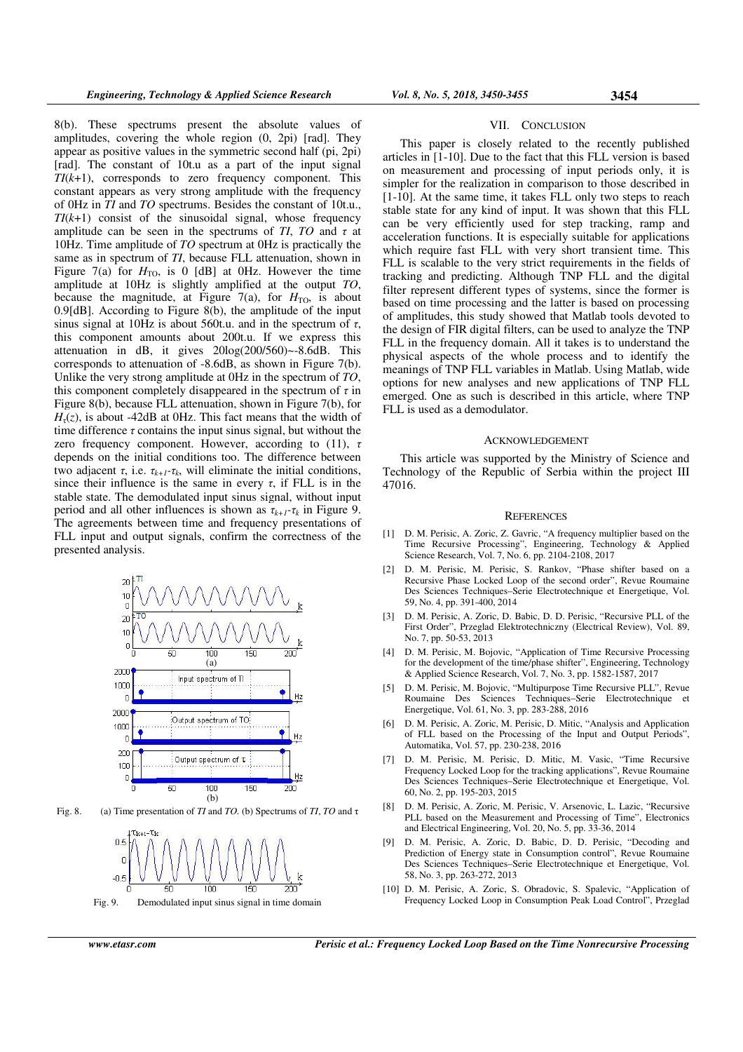8(b). These spectrums present the absolute values of amplitudes, covering the whole region (0, 2pi) [rad]. They appear as positive values in the symmetric second half (pi, 2pi) [rad]. The constant of 10t.u as a part of the input signal *TI*(*k*+1), corresponds to zero frequency component. This constant appears as very strong amplitude with the frequency of 0Hz in *TI* and *TO* spectrums. Besides the constant of 10t.u.,  $TI(k+1)$  consist of the sinusoidal signal, whose frequency amplitude can be seen in the spectrums of *TI*, *TO* and  $\tau$  at 10Hz. Time amplitude of *TO* spectrum at 0Hz is practically the same as in spectrum of *TI*, because FLL attenuation, shown in Figure 7(a) for  $H_{\text{TO}}$ , is 0 [dB] at 0Hz. However the time amplitude at 10Hz is slightly amplified at the output *TO*, because the magnitude, at Figure  $7(a)$ , for  $H_{TO}$ , is about 0.9[dB]. According to Figure 8(b), the amplitude of the input sinus signal at 10Hz is about 560t.u. and in the spectrum of *τ*, this component amounts about 200t.u. If we express this attenuation in dB, it gives 20log(200/560)~-8.6dB. This corresponds to attenuation of -8.6dB, as shown in Figure 7(b). Unlike the very strong amplitude at 0Hz in the spectrum of *TO*, this component completely disappeared in the spectrum of *τ* in Figure 8(b), because FLL attenuation, shown in Figure 7(b), for  $H_{\tau}(z)$ , is about -42dB at 0Hz. This fact means that the width of time difference  $\tau$  contains the input sinus signal, but without the zero frequency component. However, according to (11), *τ* depends on the initial conditions too. The difference between two adjacent  $\tau$ , i.e.  $\tau_{k+1}$ - $\tau_k$ , will eliminate the initial conditions, since their influence is the same in every  $\tau$ , if FLL is in the stable state. The demodulated input sinus signal, without input period and all other influences is shown as  $\tau_{k+1} - \tau_k$  in Figure 9. The agreements between time and frequency presentations of FLL input and output signals, confirm the correctness of the presented analysis.



Fig. 8. (a) Time presentation of *TI* and *TO.* (b) Spectrums of *TI*, *TO* and τ



Fig. 9. Demodulated input sinus signal in time domain

# VII. CONCLUSION

This paper is closely related to the recently published articles in [1-10]. Due to the fact that this FLL version is based on measurement and processing of input periods only, it is simpler for the realization in comparison to those described in [1-10]. At the same time, it takes FLL only two steps to reach stable state for any kind of input. It was shown that this FLL can be very efficiently used for step tracking, ramp and acceleration functions. It is especially suitable for applications which require fast FLL with very short transient time. This FLL is scalable to the very strict requirements in the fields of tracking and predicting. Although TNP FLL and the digital filter represent different types of systems, since the former is based on time processing and the latter is based on processing of amplitudes, this study showed that Matlab tools devoted to the design of FIR digital filters, can be used to analyze the TNP FLL in the frequency domain. All it takes is to understand the physical aspects of the whole process and to identify the meanings of TNP FLL variables in Matlab. Using Matlab, wide options for new analyses and new applications of TNP FLL emerged. One as such is described in this article, where TNP FLL is used as a demodulator.

#### ACKNOWLEDGEMENT

This article was supported by the Ministry of Science and Technology of the Republic of Serbia within the project III 47016.

### **REFERENCES**

- [1] D. M. Perisic, A. Zoric, Z. Gavric, "A frequency multiplier based on the Time Recursive Processing", Engineering, Technology & Applied Science Research, Vol. 7, No. 6, pp. 2104-2108, 2017
- [2] D. M. Perisic, M. Perisic, S. Rankov, "Phase shifter based on a Recursive Phase Locked Loop of the second order", Revue Roumaine Des Sciences Techniques–Serie Electrotechnique et Energetique, Vol. 59, No. 4, pp. 391-400, 2014
- [3] D. M. Perisic, A. Zoric, D. Babic, D. D. Perisic, "Recursive PLL of the First Order", Przeglad Elektrotechniczny (Electrical Review), Vol. 89, No. 7, pp. 50-53, 2013
- [4] D. M. Perisic, M. Bojovic, "Application of Time Recursive Processing for the development of the time/phase shifter", Engineering, Technology & Applied Science Research, Vol. 7, No. 3, pp. 1582-1587, 2017
- [5] D. M. Perisic, M. Bojovic, "Multipurpose Time Recursive PLL", Revue Roumaine Des Sciences Techniques–Serie Electrotechnique et Energetique, Vol. 61, No. 3, pp. 283-288, 2016
- [6] D. M. Perisic, A. Zoric, M. Perisic, D. Mitic, "Analysis and Application of FLL based on the Processing of the Input and Output Periods", Automatika, Vol. 57, pp. 230-238, 2016
- [7] D. M. Perisic, M. Perisic, D. Mitic, M. Vasic, "Time Recursive Frequency Locked Loop for the tracking applications", Revue Roumaine Des Sciences Techniques–Serie Electrotechnique et Energetique, Vol. 60, No. 2, pp. 195-203, 2015
- [8] D. M. Perisic, A. Zoric, M. Perisic, V. Arsenovic, L. Lazic, "Recursive PLL based on the Measurement and Processing of Time", Electronics and Electrical Engineering, Vol. 20, No. 5, pp. 33-36, 2014
- [9] D. M. Perisic, A. Zoric, D. Babic, D. D. Perisic, "Decoding and Prediction of Energy state in Consumption control", Revue Roumaine Des Sciences Techniques–Serie Electrotechnique et Energetique, Vol. 58, No. 3, pp. 263-272, 2013
- [10] D. M. Perisic, A. Zoric, S. Obradovic, S. Spalevic, "Application of Frequency Locked Loop in Consumption Peak Load Control", Przeglad